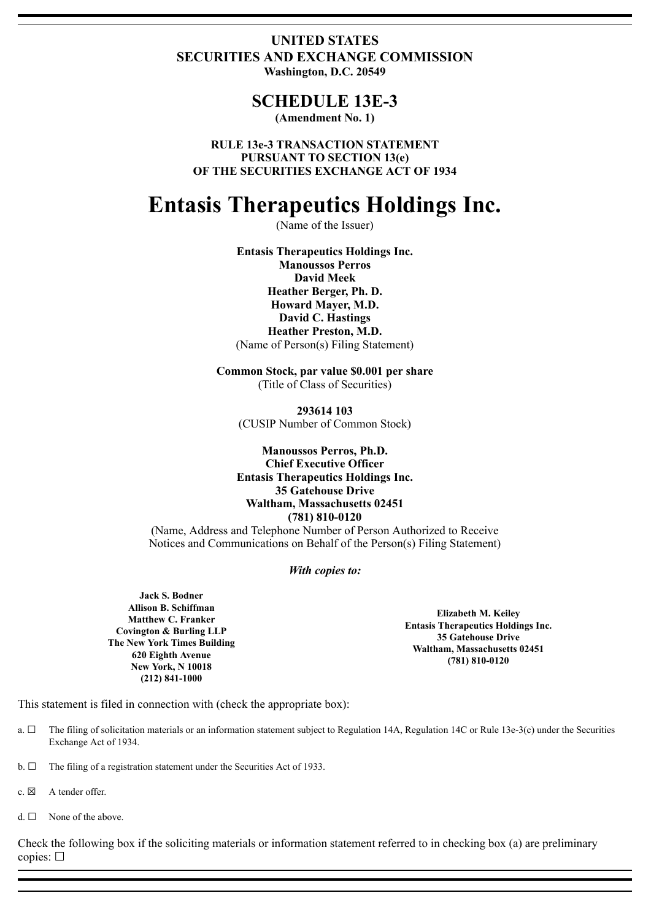# **UNITED STATES SECURITIES AND EXCHANGE COMMISSION Washington, D.C. 20549**

# **SCHEDULE 13E-3**

**(Amendment No. 1)**

**RULE 13e-3 TRANSACTION STATEMENT PURSUANT TO SECTION 13(e) OF THE SECURITIES EXCHANGE ACT OF 1934**

# **Entasis Therapeutics Holdings Inc.**

(Name of the Issuer)

**Entasis Therapeutics Holdings Inc. Manoussos Perros David Meek Heather Berger, Ph. D. Howard Mayer, M.D. David C. Hastings Heather Preston, M.D.** (Name of Person(s) Filing Statement)

**Common Stock, par value \$0.001 per share** (Title of Class of Securities)

**293614 103** (CUSIP Number of Common Stock)

**Manoussos Perros, Ph.D. Chief Executive Officer Entasis Therapeutics Holdings Inc. 35 Gatehouse Drive Waltham, Massachusetts 02451 (781) 810-0120**

(Name, Address and Telephone Number of Person Authorized to Receive Notices and Communications on Behalf of the Person(s) Filing Statement)

#### *With copies to:*

**Jack S. Bodner Allison B. Schiffman Matthew C. Franker Covington & Burling LLP The New York Times Building 620 Eighth Avenue New York, N 10018 (212) 841-1000**

**Elizabeth M. Keiley Entasis Therapeutics Holdings Inc. 35 Gatehouse Drive Waltham, Massachusetts 02451 (781) 810-0120**

This statement is filed in connection with (check the appropriate box):

- a. ☐ The filing of solicitation materials or an information statement subject to Regulation 14A, Regulation 14C or Rule 13e-3(c) under the Securities Exchange Act of 1934.
- $b. \Box$  The filing of a registration statement under the Securities Act of 1933.
- c.  $\boxtimes$  A tender offer.
- $d. \Box$  None of the above.

Check the following box if the soliciting materials or information statement referred to in checking box (a) are preliminary copies: ☐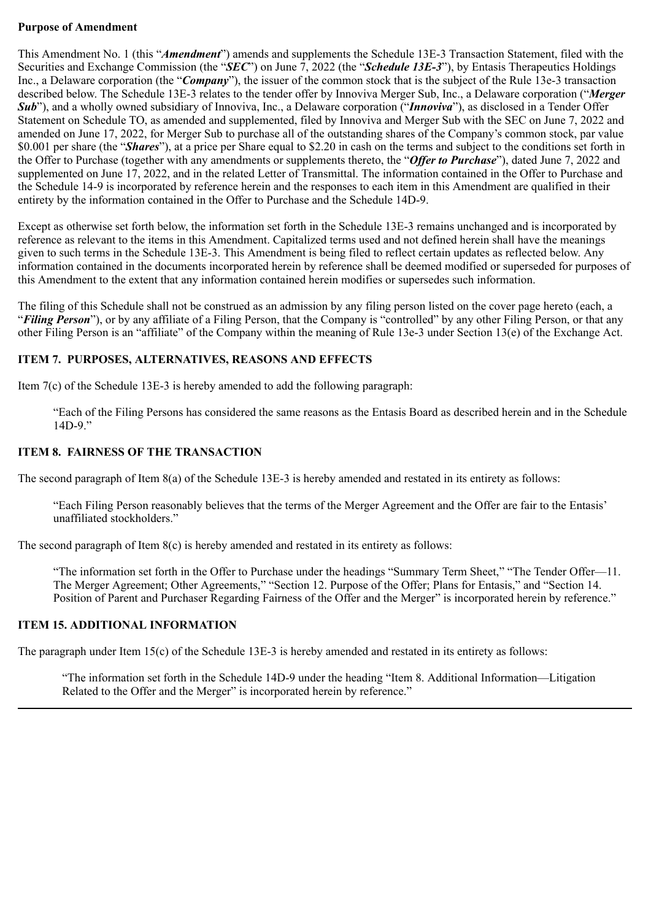#### **Purpose of Amendment**

This Amendment No. 1 (this "*Amendment*") amends and supplements the Schedule 13E-3 Transaction Statement, filed with the Securities and Exchange Commission (the "*SEC*") on June 7, 2022 (the "*Schedule 13E-3*"), by Entasis Therapeutics Holdings Inc., a Delaware corporation (the "*Company*"), the issuer of the common stock that is the subject of the Rule 13e-3 transaction described below. The Schedule 13E-3 relates to the tender offer by Innoviva Merger Sub, Inc., a Delaware corporation ("*Merger Sub*"), and a wholly owned subsidiary of Innoviva, Inc., a Delaware corporation ("*Innoviva*"), as disclosed in a Tender Offer Statement on Schedule TO, as amended and supplemented, filed by Innoviva and Merger Sub with the SEC on June 7, 2022 and amended on June 17, 2022, for Merger Sub to purchase all of the outstanding shares of the Company's common stock, par value \$0.001 per share (the "*Shares*"), at a price per Share equal to \$2.20 in cash on the terms and subject to the conditions set forth in the Offer to Purchase (together with any amendments or supplements thereto, the "*Offer to Purchase*"), dated June 7, 2022 and supplemented on June 17, 2022, and in the related Letter of Transmittal. The information contained in the Offer to Purchase and the Schedule 14-9 is incorporated by reference herein and the responses to each item in this Amendment are qualified in their entirety by the information contained in the Offer to Purchase and the Schedule 14D-9.

Except as otherwise set forth below, the information set forth in the Schedule 13E-3 remains unchanged and is incorporated by reference as relevant to the items in this Amendment. Capitalized terms used and not defined herein shall have the meanings given to such terms in the Schedule 13E-3. This Amendment is being filed to reflect certain updates as reflected below. Any information contained in the documents incorporated herein by reference shall be deemed modified or superseded for purposes of this Amendment to the extent that any information contained herein modifies or supersedes such information.

The filing of this Schedule shall not be construed as an admission by any filing person listed on the cover page hereto (each, a "*Filing Person*"), or by any affiliate of a Filing Person, that the Company is "controlled" by any other Filing Person, or that any other Filing Person is an "affiliate" of the Company within the meaning of Rule 13e-3 under Section 13(e) of the Exchange Act.

# **ITEM 7. PURPOSES, ALTERNATIVES, REASONS AND EFFECTS**

Item 7(c) of the Schedule 13E-3 is hereby amended to add the following paragraph:

"Each of the Filing Persons has considered the same reasons as the Entasis Board as described herein and in the Schedule 14D-9."

## **ITEM 8. FAIRNESS OF THE TRANSACTION**

The second paragraph of Item 8(a) of the Schedule 13E-3 is hereby amended and restated in its entirety as follows:

"Each Filing Person reasonably believes that the terms of the Merger Agreement and the Offer are fair to the Entasis' unaffiliated stockholders."

The second paragraph of Item 8(c) is hereby amended and restated in its entirety as follows:

"The information set forth in the Offer to Purchase under the headings "Summary Term Sheet," "The Tender Offer—11. The Merger Agreement; Other Agreements," "Section 12. Purpose of the Offer; Plans for Entasis," and "Section 14. Position of Parent and Purchaser Regarding Fairness of the Offer and the Merger" is incorporated herein by reference."

#### **ITEM 15. ADDITIONAL INFORMATION**

The paragraph under Item 15(c) of the Schedule 13E-3 is hereby amended and restated in its entirety as follows:

"The information set forth in the Schedule 14D-9 under the heading "Item 8. Additional Information—Litigation Related to the Offer and the Merger" is incorporated herein by reference."